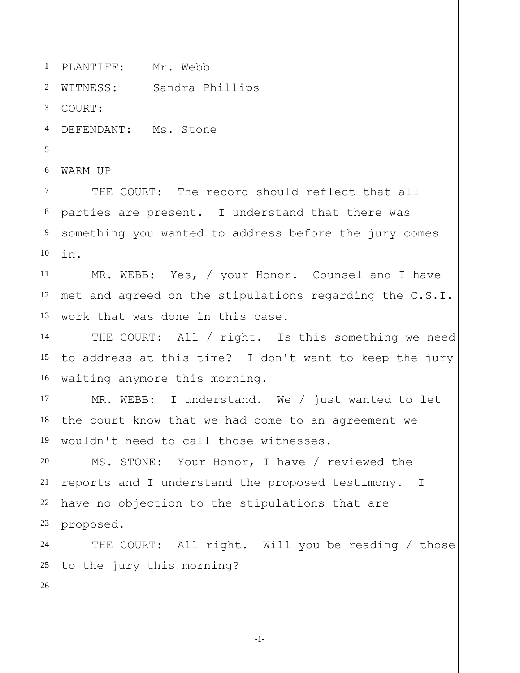PLANTIFF: Mr. Webb WITNESS: Sandra Phillips COURT: DEFENDANT: Ms. Stone WARM UP THE COURT: The record should reflect that all parties are present. I understand that there was something you wanted to address before the jury comes in. MR. WEBB: Yes, / your Honor. Counsel and I have met and agreed on the stipulations regarding the C.S.I. work that was done in this case. THE COURT: All / right. Is this something we need to address at this time? I don't want to keep the jury waiting anymore this morning. MR. WEBB: I understand. We / just wanted to let the court know that we had come to an agreement we wouldn't need to call those witnesses. MS. STONE: Your Honor, I have / reviewed the reports and I understand the proposed testimony. I have no objection to the stipulations that are proposed. THE COURT: All right. Will you be reading / those to the jury this morning?

1

2

3

4

5

6

7

8

9

10

11

12

13

14

15

16

17

18

19

20

21

22

23

24

25

26

-1-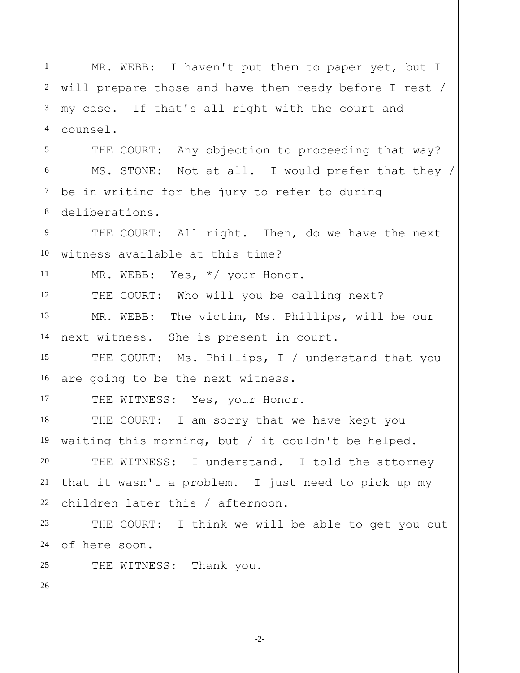1 2 3 4 5 6 7 8 9 10 11 12 13 14 15 16 17 18 19 20 21 22 23 24 25 26 MR. WEBB: I haven't put them to paper yet, but I will prepare those and have them ready before I rest / my case. If that's all right with the court and counsel. THE COURT: Any objection to proceeding that way? MS. STONE: Not at all. I would prefer that they / be in writing for the jury to refer to during deliberations. THE COURT: All right. Then, do we have the next witness available at this time? MR. WEBB: Yes, \*/ your Honor. THE COURT: Who will you be calling next? MR. WEBB: The victim, Ms. Phillips, will be our next witness. She is present in court. THE COURT: Ms. Phillips, I / understand that you are going to be the next witness. THE WITNESS: Yes, your Honor. THE COURT: I am sorry that we have kept you waiting this morning, but / it couldn't be helped. THE WITNESS: I understand. I told the attorney that it wasn't a problem. I just need to pick up my children later this / afternoon. THE COURT: I think we will be able to get you out of here soon. THE WITNESS: Thank you.

-2-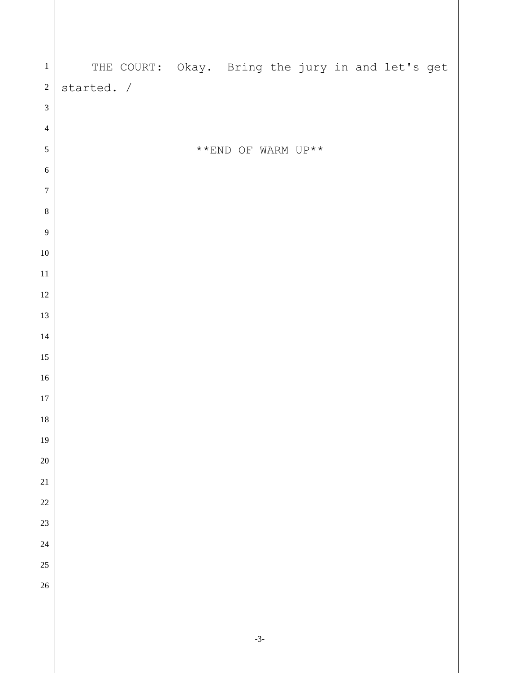| $\mathbf{1}$     | THE COURT: Okay. Bring the jury in and let's get |                                                    |  |  |  |
|------------------|--------------------------------------------------|----------------------------------------------------|--|--|--|
| $\sqrt{2}$       | started. /                                       |                                                    |  |  |  |
| $\mathfrak 3$    |                                                  |                                                    |  |  |  |
| $\overline{4}$   |                                                  |                                                    |  |  |  |
| $\sqrt{5}$       |                                                  | $^{\star\;\star}$ END OF WARM UP $^{\star\;\star}$ |  |  |  |
| $\sqrt{6}$       |                                                  |                                                    |  |  |  |
| $\boldsymbol{7}$ |                                                  |                                                    |  |  |  |
| $\,8\,$          |                                                  |                                                    |  |  |  |
| $\overline{9}$   |                                                  |                                                    |  |  |  |
| $10\,$           |                                                  |                                                    |  |  |  |
| $11\,$           |                                                  |                                                    |  |  |  |
| $12\,$           |                                                  |                                                    |  |  |  |
| 13               |                                                  |                                                    |  |  |  |
| 14               |                                                  |                                                    |  |  |  |
| 15               |                                                  |                                                    |  |  |  |
| $16\,$           |                                                  |                                                    |  |  |  |
| $17\,$           |                                                  |                                                    |  |  |  |
| $18\,$           |                                                  |                                                    |  |  |  |
| 19               |                                                  |                                                    |  |  |  |
| $\overline{20}$  |                                                  |                                                    |  |  |  |
| 21<br>22         |                                                  |                                                    |  |  |  |
| 23               |                                                  |                                                    |  |  |  |
| 24               |                                                  |                                                    |  |  |  |
| 25               |                                                  |                                                    |  |  |  |
| 26               |                                                  |                                                    |  |  |  |
|                  |                                                  |                                                    |  |  |  |
|                  |                                                  |                                                    |  |  |  |
|                  |                                                  |                                                    |  |  |  |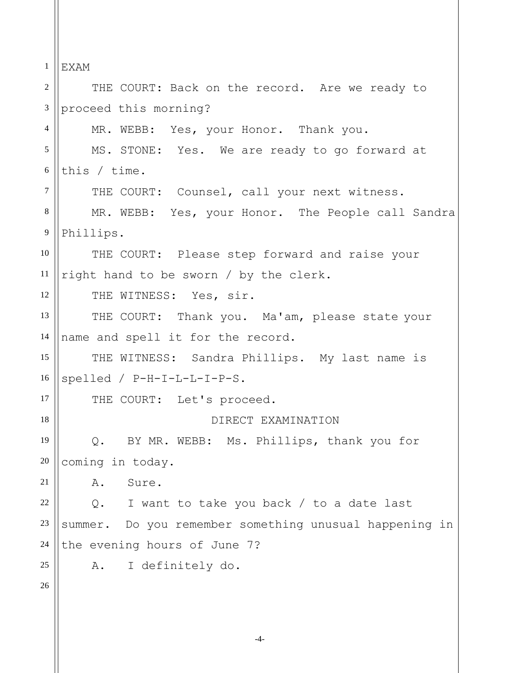1 2 3 4 5 6 7 8 9 10 11 12 13 14 15 16 17 18 19 20 21 22 23 24 25 26 EXAM THE COURT: Back on the record. Are we ready to proceed this morning? MR. WEBB: Yes, your Honor. Thank you. MS. STONE: Yes. We are ready to go forward at this / time. THE COURT: Counsel, call your next witness. MR. WEBB: Yes, your Honor. The People call Sandra Phillips. THE COURT: Please step forward and raise your right hand to be sworn / by the clerk. THE WITNESS: Yes, sir. THE COURT: Thank you. Ma'am, please state your name and spell it for the record. THE WITNESS: Sandra Phillips. My last name is spelled / P-H-I-L-L-I-P-S. THE COURT: Let's proceed. DIRECT EXAMINATION Q. BY MR. WEBB: Ms. Phillips, thank you for coming in today. A. Sure. Q. I want to take you back / to a date last summer. Do you remember something unusual happening in the evening hours of June 7? A. I definitely do.

-4-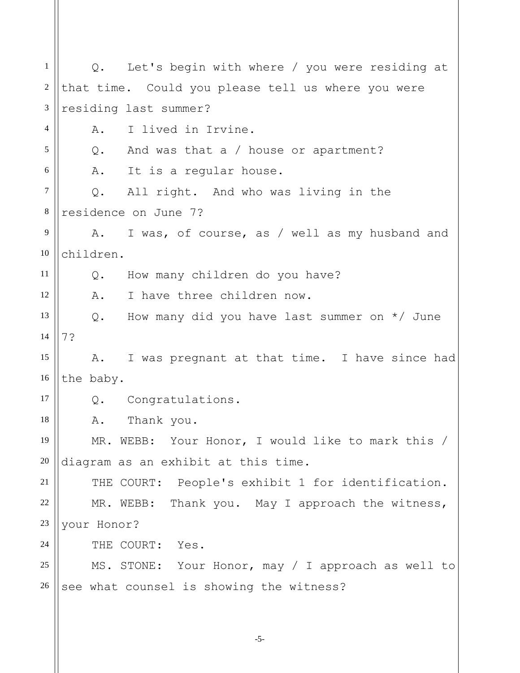1 2 3 4 5 6 7 8 9 10 11 12 13 14 15 16 17 18 19 20 21 22 23 24 25 26 Q. Let's begin with where / you were residing at that time. Could you please tell us where you were residing last summer? A. I lived in Irvine. Q. And was that a / house or apartment? A. It is a regular house. Q. All right. And who was living in the residence on June 7? A. I was, of course, as / well as my husband and children. Q. How many children do you have? A. I have three children now. Q. How many did you have last summer on \*/ June 7? A. I was pregnant at that time. I have since had the baby. Q. Congratulations. A. Thank you. MR. WEBB: Your Honor, I would like to mark this / diagram as an exhibit at this time. THE COURT: People's exhibit 1 for identification. MR. WEBB: Thank you. May I approach the witness, your Honor? THE COURT: Yes. MS. STONE: Your Honor, may / I approach as well to see what counsel is showing the witness?

-5-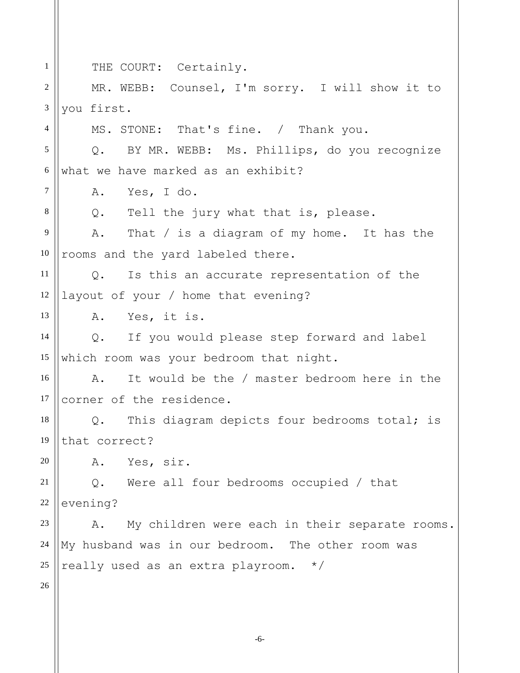1 2 3 4 5 6 7 8 9 10 11 12 13 14 15 16 17 18 19 20 21 22 23 24 25 26 THE COURT: Certainly. MR. WEBB: Counsel, I'm sorry. I will show it to you first. MS. STONE: That's fine. / Thank you. Q. BY MR. WEBB: Ms. Phillips, do you recognize what we have marked as an exhibit? A. Yes, I do. Q. Tell the jury what that is, please. A. That / is a diagram of my home. It has the rooms and the yard labeled there. Q. Is this an accurate representation of the layout of your / home that evening? A. Yes, it is. Q. If you would please step forward and label which room was your bedroom that night. A. It would be the / master bedroom here in the corner of the residence. Q. This diagram depicts four bedrooms total; is that correct? A. Yes, sir. Q. Were all four bedrooms occupied / that evening? A. My children were each in their separate rooms. My husband was in our bedroom. The other room was really used as an extra playroom. \*/

-6-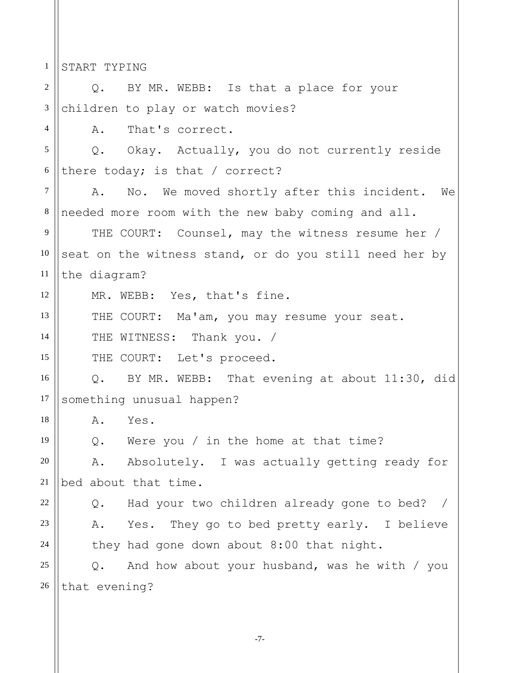1 2 3 4 5 6 7 8 9 10 11 12 13 14 15 16 17 18 19 20 21 22 23 24 25 26 START TYPING Q. BY MR. WEBB: Is that a place for your children to play or watch movies? A. That's correct. Q. Okay. Actually, you do not currently reside there today; is that / correct? A. No. We moved shortly after this incident. We needed more room with the new baby coming and all. THE COURT: Counsel, may the witness resume her / seat on the witness stand, or do you still need her by the diagram? MR. WEBB: Yes, that's fine. THE COURT: Ma'am, you may resume your seat. THE WITNESS: Thank you. / THE COURT: Let's proceed. Q. BY MR. WEBB: That evening at about 11:30, did something unusual happen? A. Yes. Q. Were you / in the home at that time? A. Absolutely. I was actually getting ready for bed about that time. Q. Had your two children already gone to bed? / A. Yes. They go to bed pretty early. I believe they had gone down about 8:00 that night. Q. And how about your husband, was he with / you that evening?

-7-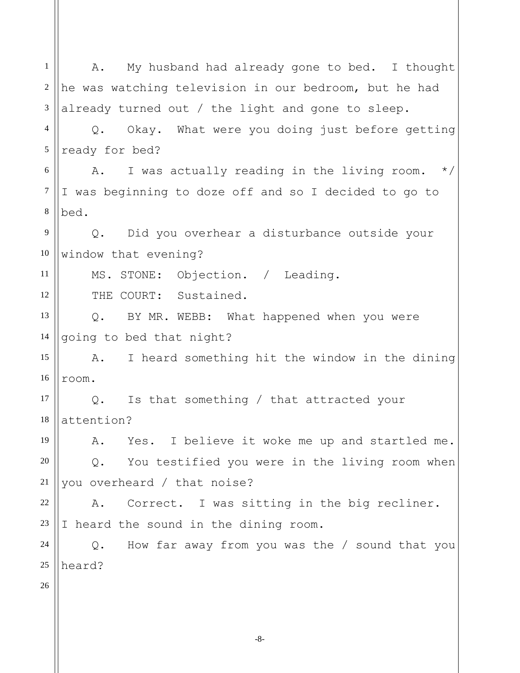1 2 3 4 5 6 7 8 9 10 11 12 13 14 15 16 17 18 19 20 21 22 23 24 25 26 A. My husband had already gone to bed. I thought he was watching television in our bedroom, but he had already turned out / the light and gone to sleep. Q. Okay. What were you doing just before getting ready for bed? A. I was actually reading in the living room.  $*/$ I was beginning to doze off and so I decided to go to bed. Q. Did you overhear a disturbance outside your window that evening? MS. STONE: Objection. / Leading. THE COURT: Sustained. Q. BY MR. WEBB: What happened when you were going to bed that night? A. I heard something hit the window in the dining room. Q. Is that something / that attracted your attention? A. Yes. I believe it woke me up and startled me. Q. You testified you were in the living room when you overheard / that noise? A. Correct. I was sitting in the big recliner. I heard the sound in the dining room. Q. How far away from you was the / sound that you heard?

-8-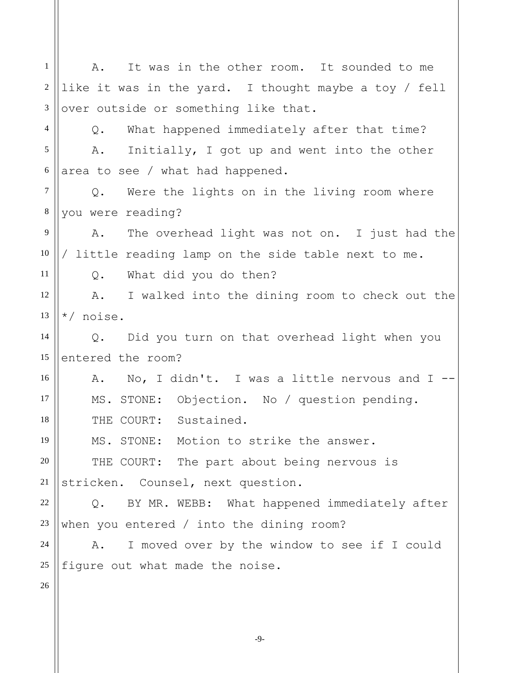1 2 3 4 5 6 7 8 9 10 11 12 13 14 15 16 17 18 19 20 21 22 23 24 25 26 A. It was in the other room. It sounded to me like it was in the yard. I thought maybe a toy / fell over outside or something like that. Q. What happened immediately after that time? A. Initially, I got up and went into the other area to see / what had happened. Q. Were the lights on in the living room where you were reading? A. The overhead light was not on. I just had the / little reading lamp on the side table next to me. Q. What did you do then? A. I walked into the dining room to check out the \*/ noise. Q. Did you turn on that overhead light when you entered the room? A. No, I didn't. I was a little nervous and I -- MS. STONE: Objection. No / question pending. THE COURT: Sustained. MS. STONE: Motion to strike the answer. THE COURT: The part about being nervous is stricken. Counsel, next question. Q. BY MR. WEBB: What happened immediately after when you entered / into the dining room? A. I moved over by the window to see if I could figure out what made the noise.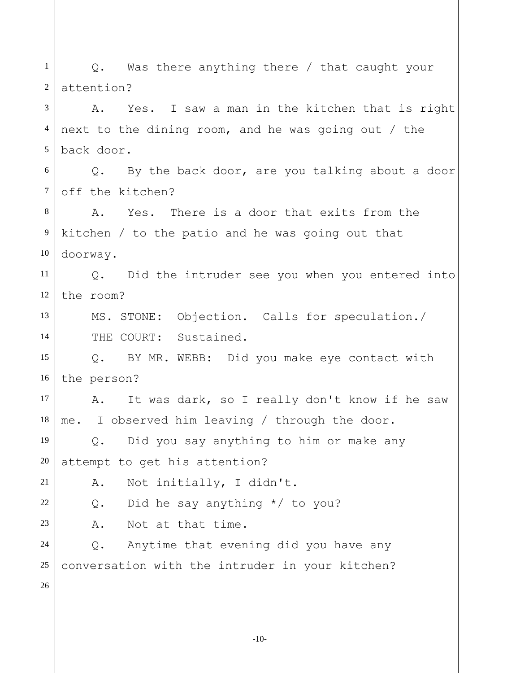1 2 3 4 5 6 7 8 9 10 11 12 13 14 15 16 17 18 19 20 21 22 23 24 25 26 Q. Was there anything there / that caught your attention? A. Yes. I saw a man in the kitchen that is right next to the dining room, and he was going out / the back door. Q. By the back door, are you talking about a door off the kitchen? A. Yes. There is a door that exits from the kitchen / to the patio and he was going out that doorway. Q. Did the intruder see you when you entered into the room? MS. STONE: Objection. Calls for speculation./ THE COURT: Sustained. Q. BY MR. WEBB: Did you make eye contact with the person? A. It was dark, so I really don't know if he saw me. I observed him leaving / through the door. Q. Did you say anything to him or make any attempt to get his attention? A. Not initially, I didn't. Q. Did he say anything \*/ to you? A. Not at that time. Q. Anytime that evening did you have any conversation with the intruder in your kitchen?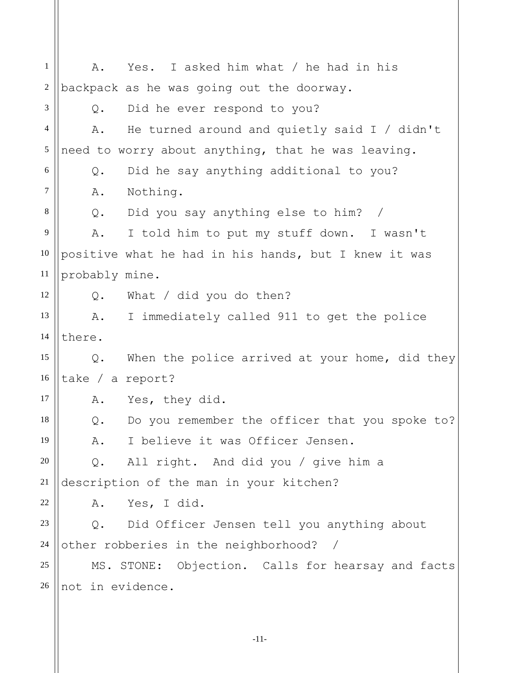1 2 3 4 5 6 7 8 9 10 11 12 13 14 15 16 17 18 19 20 21 22 23 24 25 26 A. Yes. I asked him what / he had in his backpack as he was going out the doorway. Q. Did he ever respond to you? A. He turned around and quietly said I / didn't need to worry about anything, that he was leaving. Q. Did he say anything additional to you? A. Nothing. Q. Did you say anything else to him? / A. I told him to put my stuff down. I wasn't positive what he had in his hands, but I knew it was probably mine. Q. What / did you do then? A. I immediately called 911 to get the police there. Q. When the police arrived at your home, did they take / a report? A. Yes, they did. Q. Do you remember the officer that you spoke to? A. I believe it was Officer Jensen. Q. All right. And did you / give him a description of the man in your kitchen? A. Yes, I did. Q. Did Officer Jensen tell you anything about other robberies in the neighborhood? / MS. STONE: Objection. Calls for hearsay and facts not in evidence.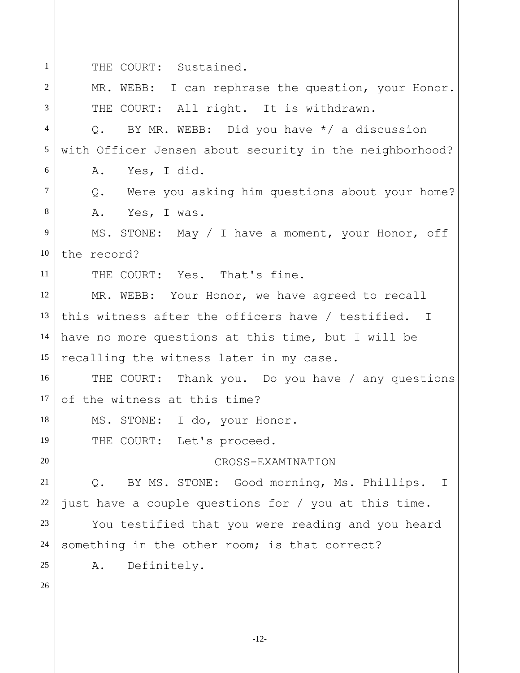1 THE COURT: Sustained.

| $\overline{2}$ | MR. WEBB: I can rephrase the question, your Honor.         |  |  |  |  |  |
|----------------|------------------------------------------------------------|--|--|--|--|--|
| 3              | THE COURT: All right. It is withdrawn.                     |  |  |  |  |  |
| $\overline{4}$ | BY MR. WEBB: Did you have */ a discussion<br>$Q_{\bullet}$ |  |  |  |  |  |
| 5              | with Officer Jensen about security in the neighborhood?    |  |  |  |  |  |
| 6              | Yes, I did.<br>Α.                                          |  |  |  |  |  |
| $\tau$         | Were you asking him questions about your home?<br>$Q$ .    |  |  |  |  |  |
| $\,8\,$        | Α.<br>Yes, I was.                                          |  |  |  |  |  |
| 9              | MS. STONE: May / I have a moment, your Honor, off          |  |  |  |  |  |
| 10             | the record?                                                |  |  |  |  |  |
| 11             | THE COURT: Yes. That's fine.                               |  |  |  |  |  |
| 12             | MR. WEBB: Your Honor, we have agreed to recall             |  |  |  |  |  |
| 13             | this witness after the officers have / testified. I        |  |  |  |  |  |
| 14             | have no more questions at this time, but I will be         |  |  |  |  |  |
| 15             | recalling the witness later in my case.                    |  |  |  |  |  |
| 16             | THE COURT: Thank you. Do you have / any questions          |  |  |  |  |  |
| 17             | of the witness at this time?                               |  |  |  |  |  |
| 18             | MS. STONE: I do, your Honor.                               |  |  |  |  |  |
| 19             | THE COURT: Let's proceed.                                  |  |  |  |  |  |
| 20             | CROSS-EXAMINATION                                          |  |  |  |  |  |
| 21             | BY MS. STONE: Good morning, Ms. Phillips. I<br>$Q$ .       |  |  |  |  |  |
| 22             | just have a couple questions for / you at this time.       |  |  |  |  |  |
| 23             | You testified that you were reading and you heard          |  |  |  |  |  |
| 24             | something in the other room; is that correct?              |  |  |  |  |  |
| 25             | Definitely.<br>Α.                                          |  |  |  |  |  |
| 26             |                                                            |  |  |  |  |  |
|                |                                                            |  |  |  |  |  |

-12-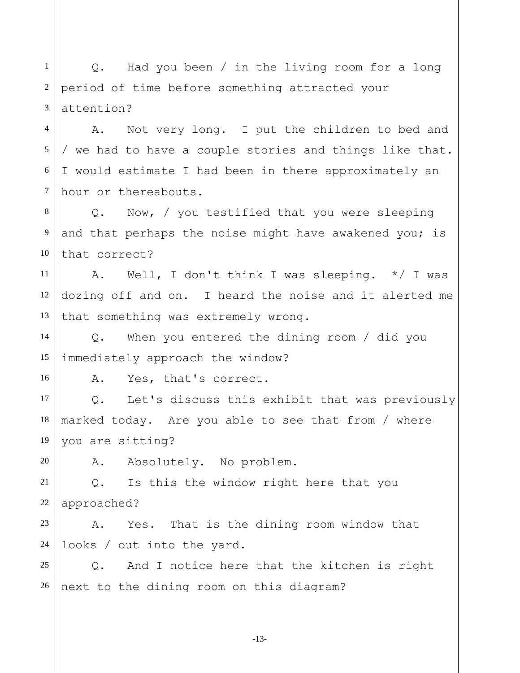1 2 3 Q. Had you been / in the living room for a long period of time before something attracted your attention?

4 5 6 7 A. Not very long. I put the children to bed and / we had to have a couple stories and things like that. I would estimate I had been in there approximately an hour or thereabouts.

8 9 10 Q. Now, / you testified that you were sleeping and that perhaps the noise might have awakened you; is that correct?

11 12 13 A. Well, I don't think I was sleeping. \*/ I was dozing off and on. I heard the noise and it alerted me that something was extremely wrong.

14 15 Q. When you entered the dining room / did you immediately approach the window?

A. Yes, that's correct.

17 18 19 Q. Let's discuss this exhibit that was previously marked today. Are you able to see that from / where you are sitting?

20

16

A. Absolutely. No problem.

21 22 Q. Is this the window right here that you approached?

23 24 A. Yes. That is the dining room window that looks / out into the yard.

25 26 Q. And I notice here that the kitchen is right next to the dining room on this diagram?

-13-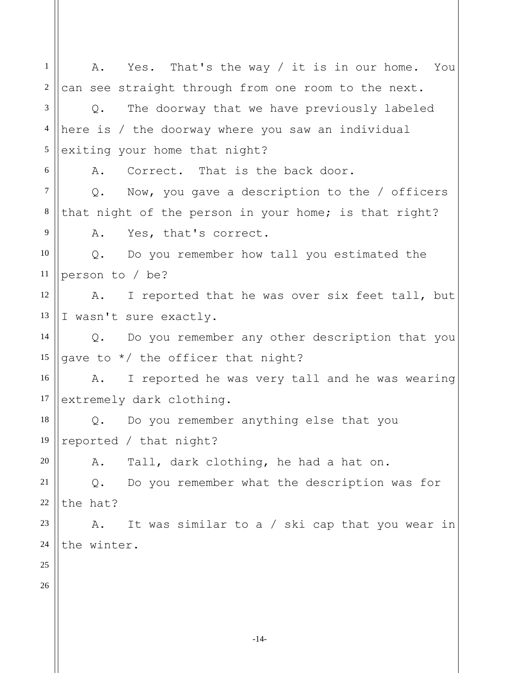-14- 1 2 3 4 5 6 7 8 9 10 11 12 13 14 15 16 17 18 19 20 21 22 23 24 25 26 A. Yes. That's the way / it is in our home. You can see straight through from one room to the next. Q. The doorway that we have previously labeled here is / the doorway where you saw an individual exiting your home that night? A. Correct. That is the back door. Q. Now, you gave a description to the / officers that night of the person in your home; is that right? A. Yes, that's correct. Q. Do you remember how tall you estimated the person to / be? A. I reported that he was over six feet tall, but I wasn't sure exactly. Q. Do you remember any other description that you gave to \*/ the officer that night? A. I reported he was very tall and he was wearing extremely dark clothing. Q. Do you remember anything else that you reported / that night? A. Tall, dark clothing, he had a hat on. Q. Do you remember what the description was for the hat? A. It was similar to a / ski cap that you wear in the winter.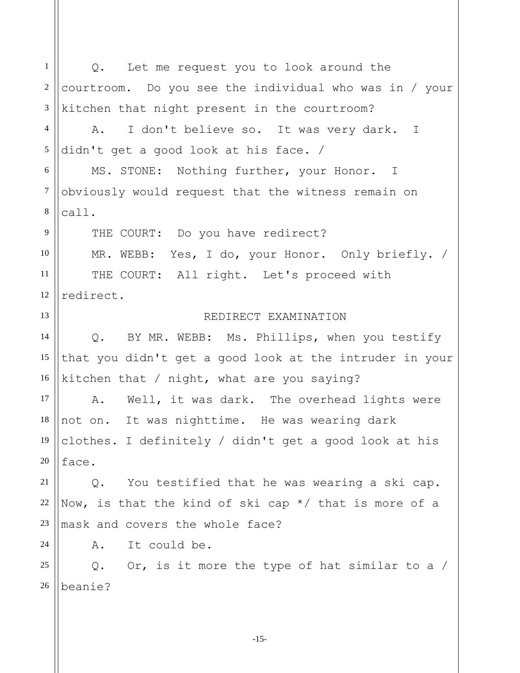1 2 3 4 5 6 7 8 9 10 11 12 13 14 15 16 17 18 19 20 21 22 23 24 25 26 Q. Let me request you to look around the courtroom. Do you see the individual who was in / your kitchen that night present in the courtroom? A. I don't believe so. It was very dark. I didn't get a good look at his face. / MS. STONE: Nothing further, your Honor. I obviously would request that the witness remain on call. THE COURT: Do you have redirect? MR. WEBB: Yes, I do, your Honor. Only briefly. / THE COURT: All right. Let's proceed with redirect. REDIRECT EXAMINATION Q. BY MR. WEBB: Ms. Phillips, when you testify that you didn't get a good look at the intruder in your kitchen that / night, what are you saying? A. Well, it was dark. The overhead lights were not on. It was nighttime. He was wearing dark clothes. I definitely / didn't get a good look at his face. Q. You testified that he was wearing a ski cap. Now, is that the kind of ski cap \*/ that is more of a mask and covers the whole face? A. It could be. Q. Or, is it more the type of hat similar to a / beanie?

-15-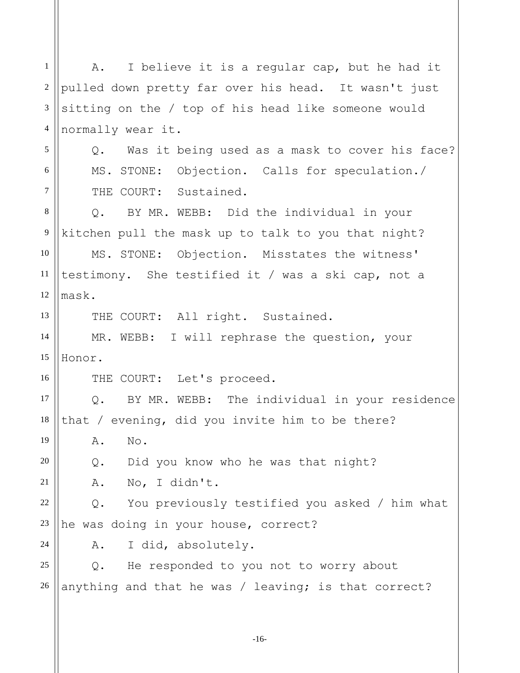1 2 3 4 5 6 7 8 9 10 11 12 13 14 15 16 17 18 19 20 21 22 23 24 25 26 A. I believe it is a regular cap, but he had it pulled down pretty far over his head. It wasn't just sitting on the / top of his head like someone would normally wear it. Q. Was it being used as a mask to cover his face? MS. STONE: Objection. Calls for speculation./ THE COURT: Sustained. Q. BY MR. WEBB: Did the individual in your kitchen pull the mask up to talk to you that night? MS. STONE: Objection. Misstates the witness' testimony. She testified it / was a ski cap, not a mask. THE COURT: All right. Sustained. MR. WEBB: I will rephrase the question, your Honor. THE COURT: Let's proceed. Q. BY MR. WEBB: The individual in your residence that / evening, did you invite him to be there? A. No. Q. Did you know who he was that night? A. No, I didn't. Q. You previously testified you asked / him what he was doing in your house, correct? A. I did, absolutely. Q. He responded to you not to worry about anything and that he was / leaving; is that correct?

-16-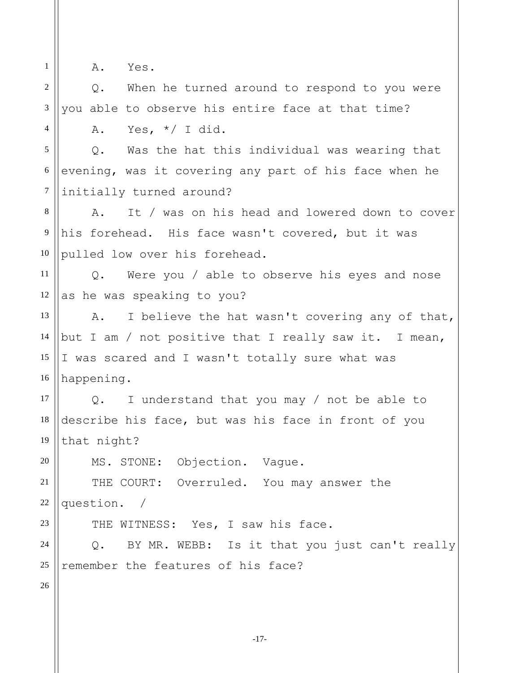1 2

4

A. Yes.

3 Q. When he turned around to respond to you were you able to observe his entire face at that time?

A. Yes,  $*/$  I did.

5 6 7 Q. Was the hat this individual was wearing that evening, was it covering any part of his face when he initially turned around?

8 9 10 A. It / was on his head and lowered down to cover his forehead. His face wasn't covered, but it was pulled low over his forehead.

11 12 Q. Were you / able to observe his eyes and nose as he was speaking to you?

13 14 15 16 A. I believe the hat wasn't covering any of that, but I am / not positive that I really saw it. I mean, I was scared and I wasn't totally sure what was happening.

17 18 19 Q. I understand that you may / not be able to describe his face, but was his face in front of you that night?

MS. STONE: Objection. Vague.

21 22 THE COURT: Overruled. You may answer the question. /

THE WITNESS: Yes, I saw his face.

24 25 Q. BY MR. WEBB: Is it that you just can't really remember the features of his face?

26

23

20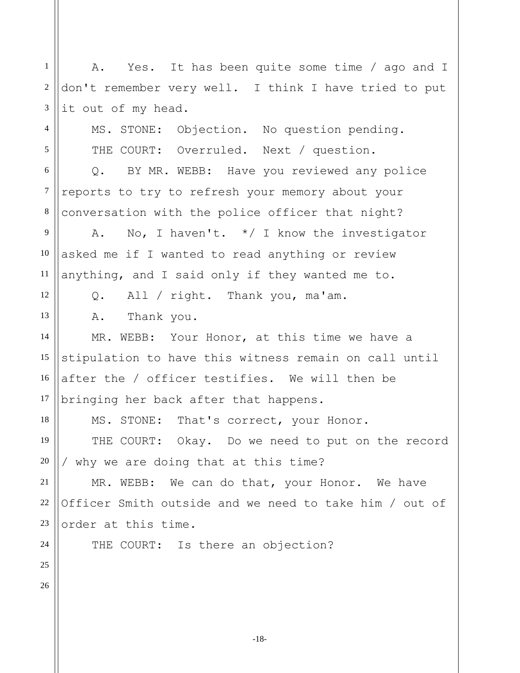1 2 3 4 A. Yes. It has been quite some time / ago and I don't remember very well. I think I have tried to put it out of my head.

MS. STONE: Objection. No question pending. THE COURT: Overruled. Next / question.

6 7 8 Q. BY MR. WEBB: Have you reviewed any police reports to try to refresh your memory about your conversation with the police officer that night?

9 10 11 A. No, I haven't. \*/ I know the investigator asked me if I wanted to read anything or review anything, and I said only if they wanted me to.

Q. All / right. Thank you, ma'am.

A. Thank you.

14 15 16 MR. WEBB: Your Honor, at this time we have a stipulation to have this witness remain on call until after the / officer testifies. We will then be bringing her back after that happens.

MS. STONE: That's correct, your Honor.

THE COURT: Okay. Do we need to put on the record / why we are doing that at this time?

21 22 23 MR. WEBB: We can do that, your Honor. We have Officer Smith outside and we need to take him / out of order at this time.

THE COURT: Is there an objection?

26

24

25

5

12

13

17

18

19

20